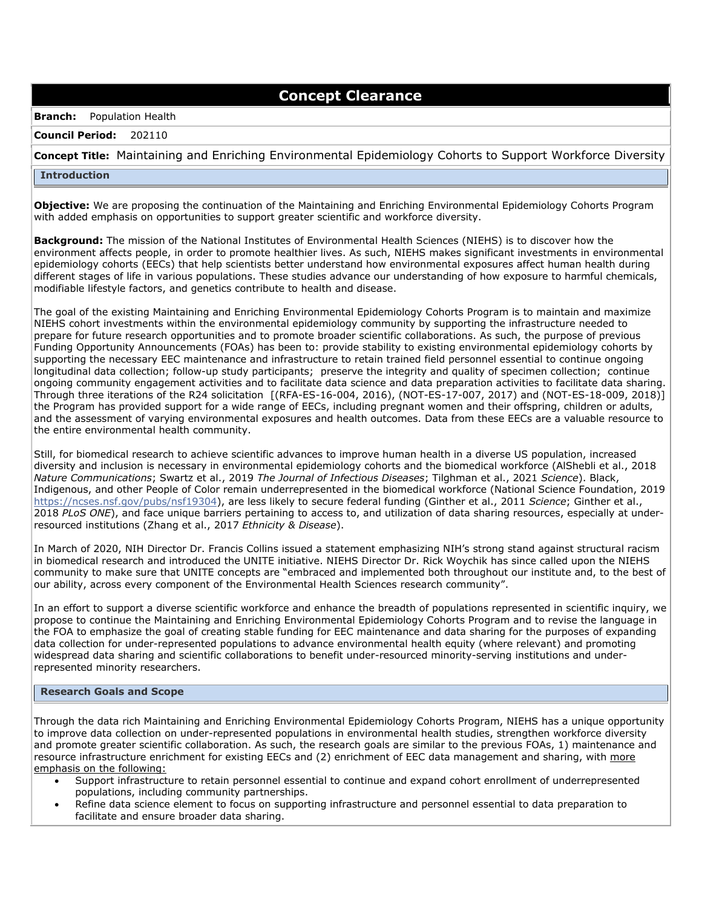# **Concept Clearance**

### **Branch:** Population Health

### **Council Period:** 202110

## **Concept Title:** Maintaining and Enriching Environmental Epidemiology Cohorts to Support Workforce Diversity

### **Introduction**

**Objective:** We are proposing the continuation of the Maintaining and Enriching Environmental Epidemiology Cohorts Program with added emphasis on opportunities to support greater scientific and workforce diversity.

**Background:** The mission of the National Institutes of Environmental Health Sciences (NIEHS) is to discover how the environment affects people, in order to promote healthier lives. As such, NIEHS makes significant investments in environmental epidemiology cohorts (EECs) that help scientists better understand how environmental exposures affect human health during different stages of life in various populations. These studies advance our understanding of how exposure to harmful chemicals, modifiable lifestyle factors, and genetics contribute to health and disease.

The goal of the existing Maintaining and Enriching Environmental Epidemiology Cohorts Program is to maintain and maximize NIEHS cohort investments within the environmental epidemiology community by supporting the infrastructure needed to prepare for future research opportunities and to promote broader scientific collaborations. As such, the purpose of previous Funding Opportunity Announcements (FOAs) has been to: provide stability to existing environmental epidemiology cohorts by supporting the necessary EEC maintenance and infrastructure to retain trained field personnel essential to continue ongoing longitudinal data collection; follow-up study participants; preserve the integrity and quality of specimen collection; continue ongoing community engagement activities and to facilitate data science and data preparation activities to facilitate data sharing. Through three iterations of the R24 solicitation [(RFA-ES-16-004, 2016), (NOT-ES-17-007, 2017) and (NOT-ES-18-009, 2018)] the Program has provided support for a wide range of EECs, including pregnant women and their offspring, children or adults, and the assessment of varying environmental exposures and health outcomes. Data from these EECs are a valuable resource to the entire environmental health community.

Still, for biomedical research to achieve scientific advances to improve human health in a diverse US population, increased diversity and inclusion is necessary in environmental epidemiology cohorts and the biomedical workforce (AlShebli et al., 2018 *Nature Communications*; Swartz et al., 2019 *The Journal of Infectious Diseases*; Tilghman et al., 2021 *Science*). Black, Indigenous, and other People of Color remain underrepresented in the biomedical workforce (National Science Foundation, 2019 [https://ncses.nsf.gov/pubs/nsf19304\)](https://ncses.nsf.gov/pubs/nsf19304), are less likely to secure federal funding (Ginther et al., 2011 *Science*; Ginther et al., 2018 *PLoS ONE*), and face unique barriers pertaining to access to, and utilization of data sharing resources, especially at underresourced institutions (Zhang et al., 2017 *Ethnicity & Disease*).

In March of 2020, NIH Director Dr. Francis Collins issued a statement emphasizing NIH's strong stand against structural racism in biomedical research and introduced the UNITE initiative. NIEHS Director Dr. Rick Woychik has since called upon the NIEHS community to make sure that UNITE concepts are "embraced and implemented both throughout our institute and, to the best of our ability, across every component of the Environmental Health Sciences research community".

In an effort to support a diverse scientific workforce and enhance the breadth of populations represented in scientific inquiry, we propose to continue the Maintaining and Enriching Environmental Epidemiology Cohorts Program and to revise the language in the FOA to emphasize the goal of creating stable funding for EEC maintenance and data sharing for the purposes of expanding data collection for under-represented populations to advance environmental health equity (where relevant) and promoting widespread data sharing and scientific collaborations to benefit under-resourced minority-serving institutions and underrepresented minority researchers.

### **Research Goals and Scope**

Through the data rich Maintaining and Enriching Environmental Epidemiology Cohorts Program, NIEHS has a unique opportunity to improve data collection on under-represented populations in environmental health studies, strengthen workforce diversity and promote greater scientific collaboration. As such, the research goals are similar to the previous FOAs, 1) maintenance and resource infrastructure enrichment for existing EECs and (2) enrichment of EEC data management and sharing, with more emphasis on the following:

- Support infrastructure to retain personnel essential to continue and expand cohort enrollment of underrepresented populations, including community partnerships.
- Refine data science element to focus on supporting infrastructure and personnel essential to data preparation to facilitate and ensure broader data sharing.